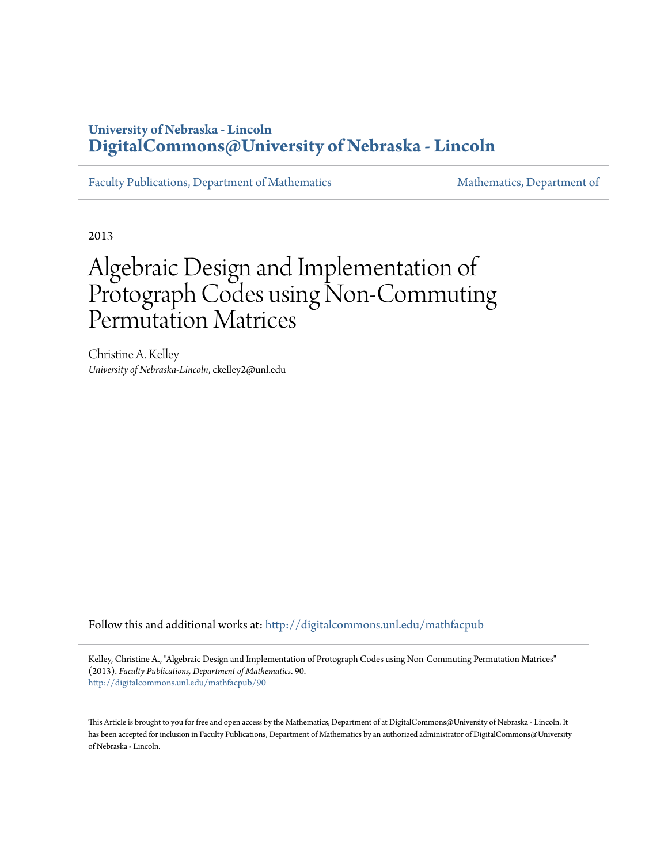### **University of Nebraska - Lincoln [DigitalCommons@University of Nebraska - Lincoln](http://digitalcommons.unl.edu?utm_source=digitalcommons.unl.edu%2Fmathfacpub%2F90&utm_medium=PDF&utm_campaign=PDFCoverPages)**

[Faculty Publications, Department of Mathematics](http://digitalcommons.unl.edu/mathfacpub?utm_source=digitalcommons.unl.edu%2Fmathfacpub%2F90&utm_medium=PDF&utm_campaign=PDFCoverPages) Mathematics [Mathematics, Department of](http://digitalcommons.unl.edu/mathematics?utm_source=digitalcommons.unl.edu%2Fmathfacpub%2F90&utm_medium=PDF&utm_campaign=PDFCoverPages)

2013

## Algebraic Design and Implementation of Protograph Codes using Non-Commuting Permutation Matrices

Christine A. Kelley *University of Nebraska-Lincoln*, ckelley2@unl.edu

Follow this and additional works at: [http://digitalcommons.unl.edu/mathfacpub](http://digitalcommons.unl.edu/mathfacpub?utm_source=digitalcommons.unl.edu%2Fmathfacpub%2F90&utm_medium=PDF&utm_campaign=PDFCoverPages)

Kelley, Christine A., "Algebraic Design and Implementation of Protograph Codes using Non-Commuting Permutation Matrices" (2013). *Faculty Publications, Department of Mathematics*. 90. [http://digitalcommons.unl.edu/mathfacpub/90](http://digitalcommons.unl.edu/mathfacpub/90?utm_source=digitalcommons.unl.edu%2Fmathfacpub%2F90&utm_medium=PDF&utm_campaign=PDFCoverPages)

This Article is brought to you for free and open access by the Mathematics, Department of at DigitalCommons@University of Nebraska - Lincoln. It has been accepted for inclusion in Faculty Publications, Department of Mathematics by an authorized administrator of DigitalCommons@University of Nebraska - Lincoln.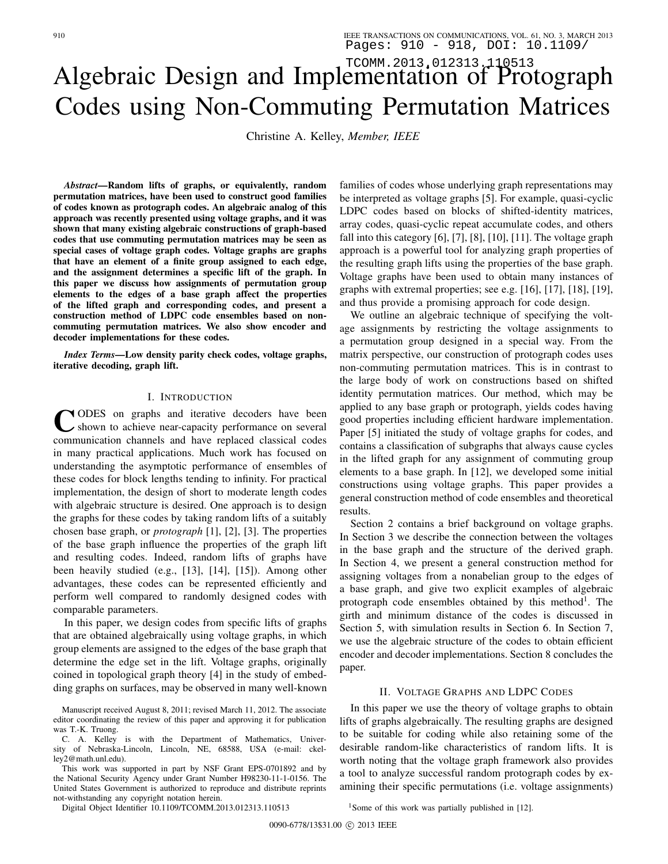# Algebraic Design and Implementation of Protograph Codes using Non-Commuting Permutation Matrices

Christine A. Kelley, *Member, IEEE*

*Abstract***—Random lifts of graphs, or equivalently, random permutation matrices, have been used to construct good families of codes known as protograph codes. An algebraic analog of this approach was recently presented using voltage graphs, and it was shown that many existing algebraic constructions of graph-based codes that use commuting permutation matrices may be seen as special cases of voltage graph codes. Voltage graphs are graphs that have an element of a finite group assigned to each edge, and the assignment determines a specific lift of the graph. In this paper we discuss how assignments of permutation group elements to the edges of a base graph affect the properties of the lifted graph and corresponding codes, and present a construction method of LDPC code ensembles based on noncommuting permutation matrices. We also show encoder and decoder implementations for these codes.**

*Index Terms***—Low density parity check codes, voltage graphs, iterative decoding, graph lift.**

#### I. INTRODUCTION

CODES on graphs and iterative decoders have been<br>shown to achieve near-capacity performance on several communication channels and have replaced classical codes in many practical applications. Much work has focused on understanding the asymptotic performance of ensembles of these codes for block lengths tending to infinity. For practical implementation, the design of short to moderate length codes with algebraic structure is desired. One approach is to design the graphs for these codes by taking random lifts of a suitably chosen base graph, or *protograph* [1], [2], [3]. The properties of the base graph influence the properties of the graph lift and resulting codes. Indeed, random lifts of graphs have been heavily studied (e.g., [13], [14], [15]). Among other advantages, these codes can be represented efficiently and perform well compared to randomly designed codes with comparable parameters.

In this paper, we design codes from specific lifts of graphs that are obtained algebraically using voltage graphs, in which group elements are assigned to the edges of the base graph that determine the edge set in the lift. Voltage graphs, originally coined in topological graph theory [4] in the study of embedding graphs on surfaces, may be observed in many well-known

This work was supported in part by NSF Grant EPS-0701892 and by the National Security Agency under Grant Number H98230-11-1-0156. The United States Government is authorized to reproduce and distribute reprints not-withstanding any copyright notation herein.

Digital Object Identifier 10.1109/TCOMM.2013.012313.110513

families of codes whose underlying graph representations may be interpreted as voltage graphs [5]. For example, quasi-cyclic LDPC codes based on blocks of shifted-identity matrices, array codes, quasi-cyclic repeat accumulate codes, and others fall into this category  $[6]$ ,  $[7]$ ,  $[8]$ ,  $[10]$ ,  $[11]$ . The voltage graph approach is a powerful tool for analyzing graph properties of the resulting graph lifts using the properties of the base graph. Voltage graphs have been used to obtain many instances of graphs with extremal properties; see e.g. [16], [17], [18], [19], and thus provide a promising approach for code design.

We outline an algebraic technique of specifying the voltage assignments by restricting the voltage assignments to a permutation group designed in a special way. From the matrix perspective, our construction of protograph codes uses non-commuting permutation matrices. This is in contrast to the large body of work on constructions based on shifted identity permutation matrices. Our method, which may be applied to any base graph or protograph, yields codes having good properties including efficient hardware implementation. Paper [5] initiated the study of voltage graphs for codes, and contains a classification of subgraphs that always cause cycles in the lifted graph for any assignment of commuting group elements to a base graph. In [12], we developed some initial constructions using voltage graphs. This paper provides a general construction method of code ensembles and theoretical results.

Section 2 contains a brief background on voltage graphs. In Section 3 we describe the connection between the voltages in the base graph and the structure of the derived graph. In Section 4, we present a general construction method for assigning voltages from a nonabelian group to the edges of a base graph, and give two explicit examples of algebraic protograph code ensembles obtained by this method<sup>1</sup>. The girth and minimum distance of the codes is discussed in Section 5, with simulation results in Section 6. In Section 7, we use the algebraic structure of the codes to obtain efficient encoder and decoder implementations. Section 8 concludes the paper.

#### II. VOLTAGE GRAPHS AND LDPC CODES

In this paper we use the theory of voltage graphs to obtain lifts of graphs algebraically. The resulting graphs are designed to be suitable for coding while also retaining some of the desirable random-like characteristics of random lifts. It is worth noting that the voltage graph framework also provides a tool to analyze successful random protograph codes by examining their specific permutations (i.e. voltage assignments)

<sup>1</sup>Some of this work was partially published in  $[12]$ .

Manuscript received August 8, 2011; revised March 11, 2012. The associate editor coordinating the review of this paper and approving it for publication was T.-K. Truong.

C. A. Kelley is with the Department of Mathematics, University of Nebraska-Lincoln, Lincoln, NE, 68588, USA (e-mail: ckelley2@math.unl.edu).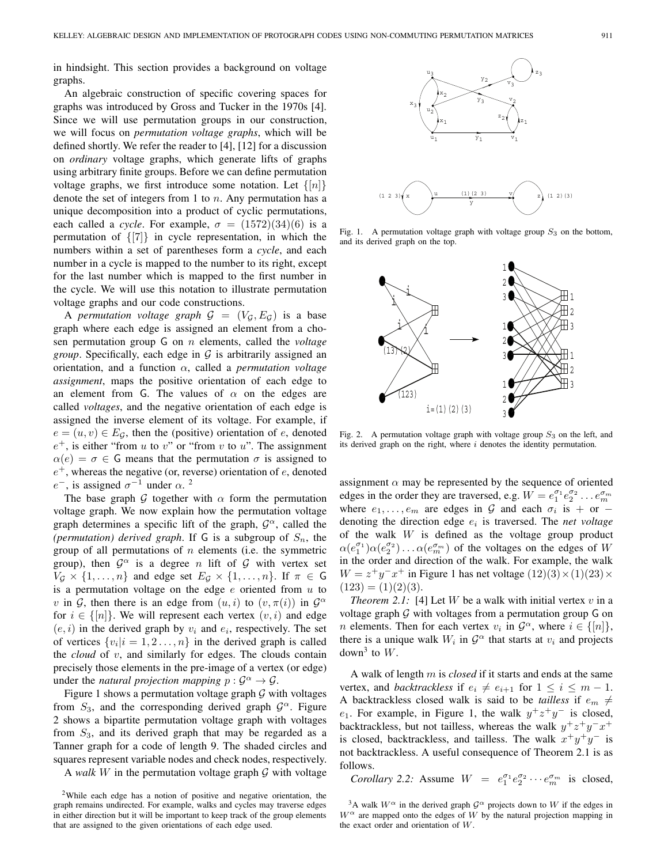in hindsight. This section provides a background on voltage graphs.

An algebraic construction of specific covering spaces for graphs was introduced by Gross and Tucker in the 1970s [4]. Since we will use permutation groups in our construction, we will focus on *permutation voltage graphs*, which will be defined shortly. We refer the reader to [4], [12] for a discussion on *ordinary* voltage graphs, which generate lifts of graphs using arbitrary finite groups. Before we can define permutation voltage graphs, we first introduce some notation. Let  $\{|n|\}$ denote the set of integers from 1 to  $n$ . Any permutation has a unique decomposition into a product of cyclic permutations, each called a *cycle*. For example,  $\sigma = (1572)(34)(6)$  is a permutation of {[7]} in cycle representation, in which the numbers within a set of parentheses form a *cycle*, and each number in a cycle is mapped to the number to its right, except for the last number which is mapped to the first number in the cycle. We will use this notation to illustrate permutation voltage graphs and our code constructions.

A *permutation voltage graph*  $G = (V_G, E_G)$  is a base graph where each edge is assigned an element from a chosen permutation group G on n elements, called the *voltage group*. Specifically, each edge in  $G$  is arbitrarily assigned an orientation, and a function α, called a *permutation voltage assignment*, maps the positive orientation of each edge to an element from G. The values of  $\alpha$  on the edges are called *voltages*, and the negative orientation of each edge is assigned the inverse element of its voltage. For example, if  $e = (u, v) \in E_G$ , then the (positive) orientation of e, denoted  $e^+$ , is either "from u to v" or "from v to u". The assignment  $\alpha(e) = \sigma \in G$  means that the permutation  $\sigma$  is assigned to  $e^+$ , whereas the negative (or, reverse) orientation of e, denoted  $e^-$ , is assigned  $\sigma^{-1}$  under  $\alpha$ . <sup>2</sup>

The base graph G together with  $\alpha$  form the permutation voltage graph. We now explain how the permutation voltage graph determines a specific lift of the graph,  $\mathcal{G}^{\alpha}$ , called the *(permutation) derived graph.* If G is a subgroup of  $S_n$ , the group of all permutations of  $n$  elements (i.e. the symmetric group), then  $\mathcal{G}^{\alpha}$  is a degree n lift of  $\mathcal G$  with vertex set  $V_G \times \{1,\ldots,n\}$  and edge set  $E_G \times \{1,\ldots,n\}$ . If  $\pi \in \mathsf{G}$ is a permutation voltage on the edge  $e$  oriented from  $u$  to v in G, then there is an edge from  $(u, i)$  to  $(v, \pi(i))$  in  $\mathcal{G}^{\alpha}$ for  $i \in \{[n]\}$ . We will represent each vertex  $(v, i)$  and edge  $(e, i)$  in the derived graph by  $v_i$  and  $e_i$ , respectively. The set of vertices  $\{v_i|i=1,2\ldots,n\}$  in the derived graph is called the *cloud* of v, and similarly for edges. The clouds contain precisely those elements in the pre-image of a vertex (or edge) under the *natural projection mapping*  $p: \mathcal{G}^{\alpha} \to \mathcal{G}$ .

Figure 1 shows a permutation voltage graph  $\mathcal G$  with voltages from  $S_3$ , and the corresponding derived graph  $\mathcal{G}^{\alpha}$ . Figure 2 shows a bipartite permutation voltage graph with voltages from  $S_3$ , and its derived graph that may be regarded as a Tanner graph for a code of length 9. The shaded circles and squares represent variable nodes and check nodes, respectively.

A *walk* W in the permutation voltage graph  $G$  with voltage



Fig. 1. A permutation voltage graph with voltage group  $S_3$  on the bottom, and its derived graph on the top.



Fig. 2. A permutation voltage graph with voltage group  $S_3$  on the left, and its derived graph on the right, where  $i$  denotes the identity permutation.

assignment  $\alpha$  may be represented by the sequence of oriented edges in the order they are traversed, e.g.  $W = e_1^{\sigma_1} e_2^{\sigma_2} \dots e_m^{\sigma_m}$ where  $e_1, \ldots, e_m$  are edges in G and each  $\sigma_i$  is + or − denoting the direction edge  $e_i$  is traversed. The *net voltage* of the walk  $W$  is defined as the voltage group product  $\alpha(e_1^{\sigma_1})\alpha(e_2^{\sigma_2})\dots\alpha(e_m^{\sigma_m})$  of the voltages on the edges of W in the order and direction of the walk. For example, the walk  $W = z^{+}y^{-}x^{+}$  in Figure 1 has net voltage  $(12)(3) \times (1)(23) \times$  $(123) = (1)(2)(3).$ 

*Theorem 2.1:* [4] Let  $W$  be a walk with initial vertex  $v$  in a voltage graph  $G$  with voltages from a permutation group  $G$  on *n* elements. Then for each vertex  $v_i$  in  $\mathcal{G}^{\alpha}$ , where  $i \in \{[n]\},$ there is a unique walk  $W_i$  in  $\mathcal{G}^{\alpha}$  that starts at  $v_i$  and projects down<sup>3</sup> to  $W$ .

A walk of length m is *closed* if it starts and ends at the same vertex, and *backtrackless* if  $e_i \neq e_{i+1}$  for  $1 \leq i \leq m-1$ . A backtrackless closed walk is said to be *tailless* if  $e_m \neq$ e<sub>1</sub>. For example, in Figure 1, the walk  $y^+z^+y^-$  is closed, backtrackless, but not tailless, whereas the walk  $y^+z^+y^-x^+$ is closed, backtrackless, and tailless. The walk  $x^+y^+y^-$  is not backtrackless. A useful consequence of Theorem 2.1 is as follows.

*Corollary 2.2:* Assume  $W = e_1^{\sigma_1} e_2^{\sigma_2} \cdots e_m^{\sigma_m}$  is closed,

<sup>2</sup>While each edge has a notion of positive and negative orientation, the graph remains undirected. For example, walks and cycles may traverse edges in either direction but it will be important to keep track of the group elements that are assigned to the given orientations of each edge used.

<sup>&</sup>lt;sup>3</sup>A walk  $W^{\alpha}$  in the derived graph  $\mathcal{G}^{\alpha}$  projects down to W if the edges in  $W^{\alpha}$  are mapped onto the edges of W by the natural projection mapping in the exact order and orientation of W.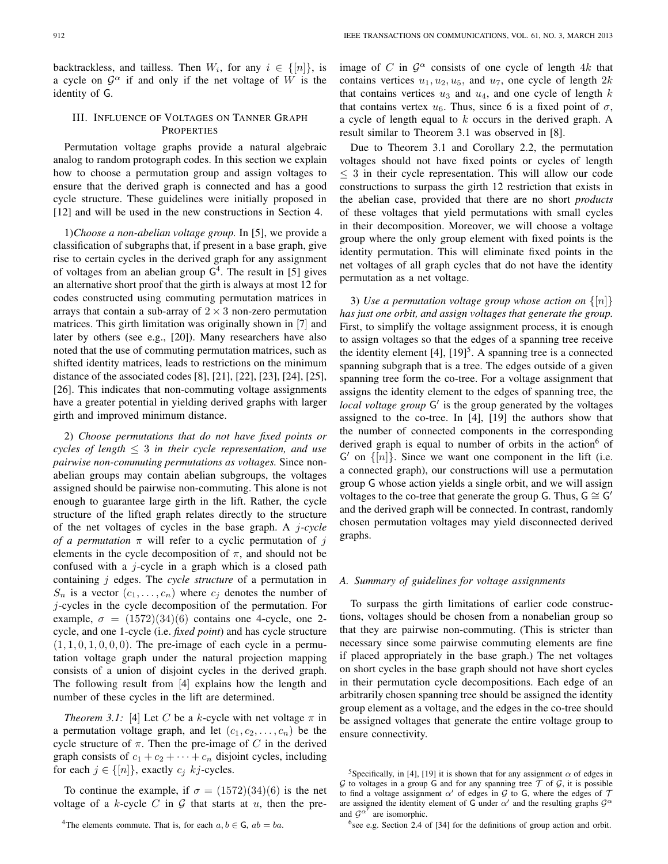backtrackless, and tailless. Then  $W_i$ , for any  $i \in \{[n]\},$  is a cycle on  $\mathcal{G}^{\alpha}$  if and only if the net voltage of W is the identity of G.

#### III. INFLUENCE OF VOLTAGES ON TANNER GRAPH **PROPERTIES**

Permutation voltage graphs provide a natural algebraic analog to random protograph codes. In this section we explain how to choose a permutation group and assign voltages to ensure that the derived graph is connected and has a good cycle structure. These guidelines were initially proposed in [12] and will be used in the new constructions in Section 4.

1)*Choose a non-abelian voltage group.* In [5], we provide a classification of subgraphs that, if present in a base graph, give rise to certain cycles in the derived graph for any assignment of voltages from an abelian group  $G<sup>4</sup>$ . The result in [5] gives an alternative short proof that the girth is always at most 12 for codes constructed using commuting permutation matrices in arrays that contain a sub-array of  $2 \times 3$  non-zero permutation matrices. This girth limitation was originally shown in [7] and later by others (see e.g., [20]). Many researchers have also noted that the use of commuting permutation matrices, such as shifted identity matrices, leads to restrictions on the minimum distance of the associated codes [8], [21], [22], [23], [24], [25], [26]. This indicates that non-commuting voltage assignments have a greater potential in yielding derived graphs with larger girth and improved minimum distance.

2) *Choose permutations that do not have fixed points or cycles of length* ≤ 3 *in their cycle representation, and use pairwise non-commuting permutations as voltages.* Since nonabelian groups may contain abelian subgroups, the voltages assigned should be pairwise non-commuting. This alone is not enough to guarantee large girth in the lift. Rather, the cycle structure of the lifted graph relates directly to the structure of the net voltages of cycles in the base graph. A j*-cycle of a permutation*  $\pi$  will refer to a cyclic permutation of j elements in the cycle decomposition of  $\pi$ , and should not be confused with a  $j$ -cycle in a graph which is a closed path containing j edges. The *cycle structure* of a permutation in  $S_n$  is a vector  $(c_1, \ldots, c_n)$  where  $c_j$  denotes the number of j-cycles in the cycle decomposition of the permutation. For example,  $\sigma = (1572)(34)(6)$  contains one 4-cycle, one 2cycle, and one 1-cycle (i.e. *fixed point*) and has cycle structure  $(1, 1, 0, 1, 0, 0, 0)$ . The pre-image of each cycle in a permutation voltage graph under the natural projection mapping consists of a union of disjoint cycles in the derived graph. The following result from [4] explains how the length and number of these cycles in the lift are determined.

*Theorem 3.1:* [4] Let C be a k-cycle with net voltage  $\pi$  in a permutation voltage graph, and let  $(c_1, c_2, \ldots, c_n)$  be the cycle structure of  $\pi$ . Then the pre-image of  $C$  in the derived graph consists of  $c_1 + c_2 + \cdots + c_n$  disjoint cycles, including for each  $j \in \{[n]\}\$ , exactly  $c_j$  kj-cycles.

To continue the example, if  $\sigma = (1572)(34)(6)$  is the net voltage of a k-cycle  $C$  in  $G$  that starts at  $u$ , then the preimage of C in  $\mathcal{G}^{\alpha}$  consists of one cycle of length 4k that contains vertices  $u_1, u_2, u_5$ , and  $u_7$ , one cycle of length  $2k$ that contains vertices  $u_3$  and  $u_4$ , and one cycle of length k that contains vertex  $u_6$ . Thus, since 6 is a fixed point of  $\sigma$ , a cycle of length equal to  $k$  occurs in the derived graph. A result similar to Theorem 3.1 was observed in [8].

Due to Theorem 3.1 and Corollary 2.2, the permutation voltages should not have fixed points or cycles of length  $\leq$  3 in their cycle representation. This will allow our code constructions to surpass the girth 12 restriction that exists in the abelian case, provided that there are no short *products* of these voltages that yield permutations with small cycles in their decomposition. Moreover, we will choose a voltage group where the only group element with fixed points is the identity permutation. This will eliminate fixed points in the net voltages of all graph cycles that do not have the identity permutation as a net voltage.

3) *Use a permutation voltage group whose action on* {[n]} *has just one orbit, and assign voltages that generate the group.* First, to simplify the voltage assignment process, it is enough to assign voltages so that the edges of a spanning tree receive the identity element  $[4]$ ,  $[19]$ <sup>5</sup>. A spanning tree is a connected spanning subgraph that is a tree. The edges outside of a given spanning tree form the co-tree. For a voltage assignment that assigns the identity element to the edges of spanning tree, the *local voltage group* G' is the group generated by the voltages assigned to the co-tree. In [4], [19] the authors show that the number of connected components in the corresponding derived graph is equal to number of orbits in the action  $6$  of  $G'$  on  $\{[n]\}\)$ . Since we want one component in the lift (i.e. a connected graph), our constructions will use a permutation group G whose action yields a single orbit, and we will assign voltages to the co-tree that generate the group G. Thus,  $G \cong G'$ and the derived graph will be connected. In contrast, randomly chosen permutation voltages may yield disconnected derived graphs.

#### *A. Summary of guidelines for voltage assignments*

To surpass the girth limitations of earlier code constructions, voltages should be chosen from a nonabelian group so that they are pairwise non-commuting. (This is stricter than necessary since some pairwise commuting elements are fine if placed appropriately in the base graph.) The net voltages on short cycles in the base graph should not have short cycles in their permutation cycle decompositions. Each edge of an arbitrarily chosen spanning tree should be assigned the identity group element as a voltage, and the edges in the co-tree should be assigned voltages that generate the entire voltage group to ensure connectivity.

<sup>&</sup>lt;sup>4</sup>The elements commute. That is, for each  $a, b \in \mathsf{G}$ ,  $ab = ba$ .

<sup>&</sup>lt;sup>5</sup>Specifically, in [4], [19] it is shown that for any assignment  $\alpha$  of edges in  $G$  to voltages in a group G and for any spanning tree  $T$  of  $G$ , it is possible to find a voltage assignment  $\alpha'$  of edges in G to G, where the edges of  $\tau$ are assigned the identity element of G under  $\alpha'$  and the resulting graphs  $\mathcal{G}^{\alpha}$ and  $\mathcal{G}^{\alpha'}$  are isomorphic.

<sup>&</sup>lt;sup>6</sup>see e.g. Section 2.4 of [34] for the definitions of group action and orbit.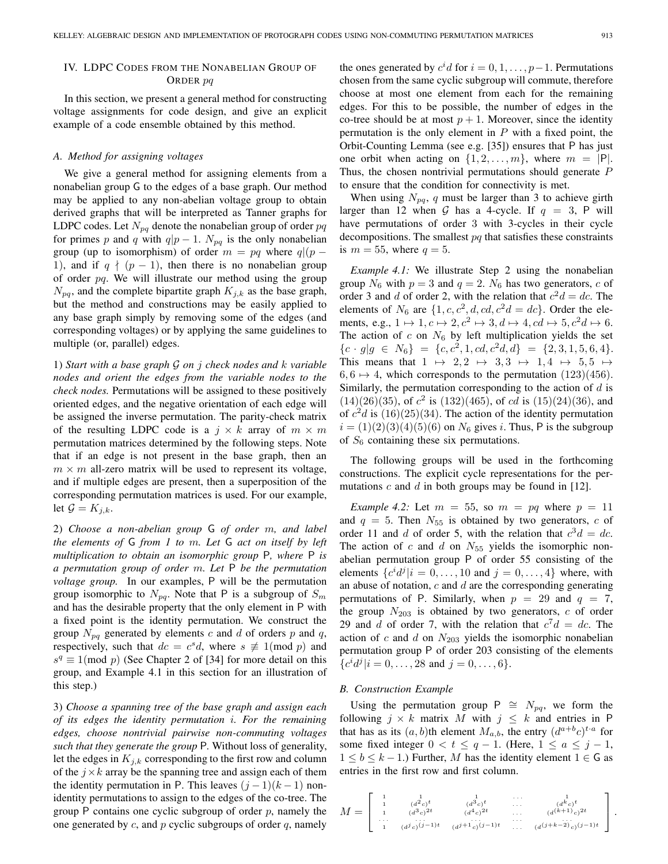#### IV. LDPC CODES FROM THE NONABELIAN GROUP OF ORDER pq

In this section, we present a general method for constructing voltage assignments for code design, and give an explicit example of a code ensemble obtained by this method.

#### *A. Method for assigning voltages*

We give a general method for assigning elements from a nonabelian group G to the edges of a base graph. Our method may be applied to any non-abelian voltage group to obtain derived graphs that will be interpreted as Tanner graphs for LDPC codes. Let  $N_{pq}$  denote the nonabelian group of order  $pq$ for primes p and q with  $q|p-1$ . N<sub>pq</sub> is the only nonabelian group (up to isomorphism) of order  $m = pq$  where  $q|(p - q)$ 1), and if  $q \nmid (p - 1)$ , then there is no nonabelian group of order  $pq$ . We will illustrate our method using the group  $N_{pq}$ , and the complete bipartite graph  $K_{j,k}$  as the base graph, but the method and constructions may be easily applied to any base graph simply by removing some of the edges (and corresponding voltages) or by applying the same guidelines to multiple (or, parallel) edges.

1) *Start with a base graph* G *on* j *check nodes and* k *variable nodes and orient the edges from the variable nodes to the check nodes.* Permutations will be assigned to these positively oriented edges, and the negative orientation of each edge will be assigned the inverse permutation. The parity-check matrix of the resulting LDPC code is a  $j \times k$  array of  $m \times m$ permutation matrices determined by the following steps. Note that if an edge is not present in the base graph, then an  $m \times m$  all-zero matrix will be used to represent its voltage, and if multiple edges are present, then a superposition of the corresponding permutation matrices is used. For our example, let  $G = K_{j,k}$ .

2) *Choose a non-abelian group* G *of order* m*, and label the elements of* G *from 1 to* m*. Let* G *act on itself by left multiplication to obtain an isomorphic group* P*, where* P *is a permutation group of order* m*. Let* P *be the permutation voltage group.* In our examples, P will be the permutation group isomorphic to  $N_{pq}$ . Note that P is a subgroup of  $S_m$ and has the desirable property that the only element in P with a fixed point is the identity permutation. We construct the group  $N_{pq}$  generated by elements c and d of orders p and q, respectively, such that  $dc = c<sup>s</sup>d$ , where  $s \neq 1 \pmod{p}$  and  $s<sup>q</sup> \equiv 1 \pmod{p}$  (See Chapter 2 of [34] for more detail on this group, and Example 4.1 in this section for an illustration of this step.)

3) *Choose a spanning tree of the base graph and assign each of its edges the identity permutation* i*. For the remaining edges, choose nontrivial pairwise non-commuting voltages such that they generate the group* P*.* Without loss of generality, let the edges in  $K_{i,k}$  corresponding to the first row and column of the  $j \times k$  array be the spanning tree and assign each of them the identity permutation in P. This leaves  $(j-1)(k-1)$  nonidentity permutations to assign to the edges of the co-tree. The group P contains one cyclic subgroup of order  $p$ , namely the one generated by  $c$ , and  $p$  cyclic subgroups of order  $q$ , namely

the ones generated by  $c^i d$  for  $i = 0, 1, \ldots, p-1$ . Permutations chosen from the same cyclic subgroup will commute, therefore choose at most one element from each for the remaining edges. For this to be possible, the number of edges in the co-tree should be at most  $p + 1$ . Moreover, since the identity permutation is the only element in  $P$  with a fixed point, the Orbit-Counting Lemma (see e.g. [35]) ensures that P has just one orbit when acting on  $\{1, 2, \ldots, m\}$ , where  $m = |P|$ . Thus, the chosen nontrivial permutations should generate P to ensure that the condition for connectivity is met.

When using  $N_{pq}$ , q must be larger than 3 to achieve girth larger than 12 when G has a 4-cycle. If  $q = 3$ , P will have permutations of order 3 with 3-cycles in their cycle decompositions. The smallest  $pq$  that satisfies these constraints is  $m = 55$ , where  $q = 5$ .

*Example 4.1:* We illustrate Step 2 using the nonabelian group  $N_6$  with  $p = 3$  and  $q = 2$ .  $N_6$  has two generators, c of order 3 and d of order 2, with the relation that  $c^2d = dc$ . The elements of  $N_6$  are  $\{1, c, c^2, d, cd, c^2d = dc\}$ . Order the elements, e.g.,  $1 \mapsto 1, c \mapsto 2, c^2 \mapsto 3, d \mapsto 4, cd \mapsto 5, c^2d \mapsto 6.$ The action of  $c$  on  $N_6$  by left multiplication yields the set  ${c \cdot g | g \in N_6} = {c, c^2, 1, cd, c^2d, d} = {2, 3, 1, 5, 6, 4}.$ This means that  $1 \mapsto 2, 2 \mapsto 3, 3 \mapsto 1, 4 \mapsto 5, 5 \mapsto$  $6, 6 \mapsto 4$ , which corresponds to the permutation (123)(456). Similarly, the permutation corresponding to the action of  $d$  is  $(14)(26)(35)$ , of  $c<sup>2</sup>$  is  $(132)(465)$ , of cd is  $(15)(24)(36)$ , and of  $c^2d$  is  $(16)(25)(34)$ . The action of the identity permutation  $i = (1)(2)(3)(4)(5)(6)$  on  $N_6$  gives i. Thus, P is the subgroup of  $S_6$  containing these six permutations.

The following groups will be used in the forthcoming constructions. The explicit cycle representations for the permutations  $c$  and  $d$  in both groups may be found in [12].

*Example 4.2:* Let  $m = 55$ , so  $m = pq$  where  $p = 11$ and  $q = 5$ . Then  $N_{55}$  is obtained by two generators, c of order 11 and d of order 5, with the relation that  $c^3d = dc$ . The action of c and d on  $N_{55}$  yields the isomorphic nonabelian permutation group P of order 55 consisting of the elements  $\{c^i d^j | i = 0, \ldots, 10 \text{ and } j = 0, \ldots, 4\}$  where, with an abuse of notation,  $c$  and  $d$  are the corresponding generating permutations of P. Similarly, when  $p = 29$  and  $q = 7$ , the group  $N_{203}$  is obtained by two generators, c of order 29 and d of order 7, with the relation that  $c^7d = dc$ . The action of c and d on  $N_{203}$  yields the isomorphic nonabelian permutation group P of order 203 consisting of the elements  ${c^i d^j | i = 0, \ldots, 28 \text{ and } j = 0, \ldots, 6}.$ 

#### *B. Construction Example*

Using the permutation group P  $\cong$   $N_{pq}$ , we form the following  $j \times k$  matrix M with  $j \leq k$  and entries in P that has as its  $(a, b)$ th element  $M_{a,b}$ , the entry  $(d^{a+b}c)^{t \cdot a}$  for some fixed integer  $0 < t \leq q-1$ . (Here,  $1 \leq a \leq j-1$ ,  $1 \leq b \leq k-1$ .) Further, M has the identity element  $1 \in G$  as entries in the first row and first column.

$$
M = \left[ \begin{array}{cccc} 1 & 1 & 1 & \cdots & 1 \\ 1 & (d^2c)^t & (d^3c)^t & \cdots & (d^kc)^t \\ 1 & (d^3c)^{2t} & (d^4c)^{2t} & \cdots & (d^{(k-1)}c)^{2t} \\ \vdots & \vdots & \vdots & \vdots & \vdots \\ 1 & (d^jc)^{(j-1)t} & (d^{j+1}c)^{(j-1)t} & \cdots & (d^{(j+k-2)}c)^{(j-1)t} \end{array} \right].
$$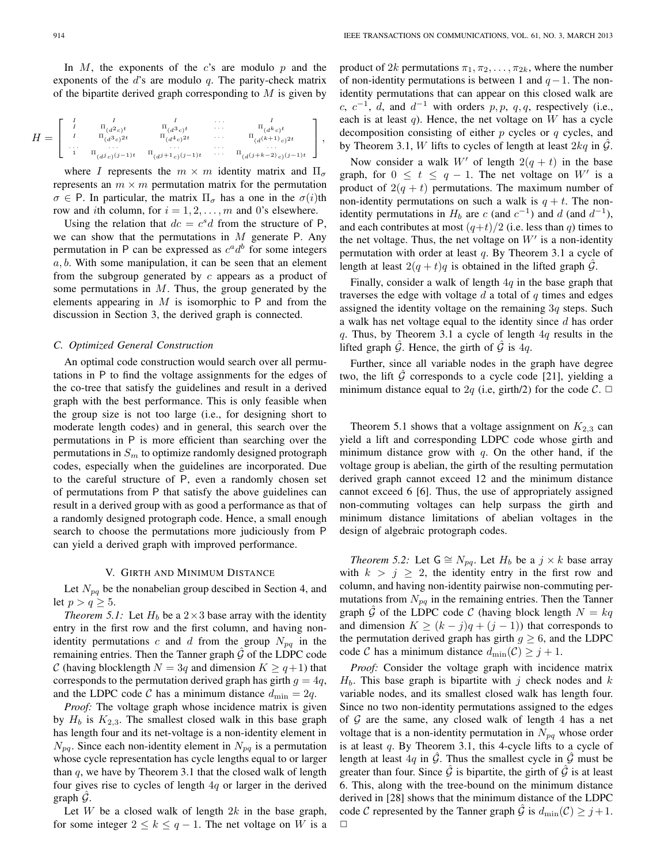In  $M$ , the exponents of the c's are modulo  $p$  and the exponents of the  $d$ 's are modulo  $q$ . The parity-check matrix of the bipartite derived graph corresponding to  $M$  is given by

$$
H = \left[ \begin{array}{cccc} I & I & I & \cdots & I \\ I & \pi_{(d^2c)^t} & \pi_{(d^3c)^t} & \cdots & \pi_{(d^kc)^t} \\ \vdots & \pi_{(d^3c)^{2t}} & \pi_{(d^4c)^{2t}} & \cdots & \pi_{(d(k+1)c)^{2t}} \\ \vdots & \vdots & \vdots & \vdots & \vdots \\ \end{array} \right],
$$

where I represents the  $m \times m$  identity matrix and  $\Pi_{\sigma}$ represents an  $m \times m$  permutation matrix for the permutation  $\sigma \in P$ . In particular, the matrix  $\Pi_{\sigma}$  has a one in the  $\sigma(i)$ th row and *i*th column, for  $i = 1, 2, \ldots, m$  and 0's elsewhere.

Using the relation that  $dc = c<sup>s</sup>d$  from the structure of P, we can show that the permutations in  $M$  generate P. Any permutation in P can be expressed as  $c^a d^b$  for some integers  $a, b$ . With some manipulation, it can be seen that an element from the subgroup generated by  $c$  appears as a product of some permutations in  $M$ . Thus, the group generated by the elements appearing in  $M$  is isomorphic to P and from the discussion in Section 3, the derived graph is connected.

#### *C. Optimized General Construction*

An optimal code construction would search over all permutations in P to find the voltage assignments for the edges of the co-tree that satisfy the guidelines and result in a derived graph with the best performance. This is only feasible when the group size is not too large (i.e., for designing short to moderate length codes) and in general, this search over the permutations in P is more efficient than searching over the permutations in  $S_m$  to optimize randomly designed protograph codes, especially when the guidelines are incorporated. Due to the careful structure of P, even a randomly chosen set of permutations from P that satisfy the above guidelines can result in a derived group with as good a performance as that of a randomly designed protograph code. Hence, a small enough search to choose the permutations more judiciously from P can yield a derived graph with improved performance.

#### V. GIRTH AND MINIMUM DISTANCE

Let  $N_{pq}$  be the nonabelian group descibed in Section 4, and let  $p > q \geq 5$ .

*Theorem 5.1:* Let  $H_b$  be a  $2 \times 3$  base array with the identity entry in the first row and the first column, and having nonidentity permutations c and d from the group  $N_{pq}$  in the remaining entries. Then the Tanner graph  $\hat{G}$  of the LDPC code C (having blocklength  $N = 3q$  and dimension  $K > q+1$ ) that corresponds to the permutation derived graph has girth  $q = 4q$ , and the LDPC code C has a minimum distance  $d_{\min} = 2q$ .

*Proof:* The voltage graph whose incidence matrix is given by  $H_b$  is  $K_{2,3}$ . The smallest closed walk in this base graph has length four and its net-voltage is a non-identity element in  $N_{pq}$ . Since each non-identity element in  $N_{pq}$  is a permutation whose cycle representation has cycle lengths equal to or larger than  $q$ , we have by Theorem 3.1 that the closed walk of length four gives rise to cycles of length  $4q$  or larger in the derived graph  $\mathcal{G}$ .

Let W be a closed walk of length  $2k$  in the base graph, for some integer  $2 \le k \le q - 1$ . The net voltage on W is a product of 2k permutations  $\pi_1, \pi_2, \ldots, \pi_{2k}$ , where the number of non-identity permutations is between 1 and  $q-1$ . The nonidentity permutations that can appear on this closed walk are c,  $c^{-1}$ , d, and  $d^{-1}$  with orders p, p, q, q, respectively (i.e., each is at least  $q$ ). Hence, the net voltage on W has a cycle decomposition consisting of either  $p$  cycles or  $q$  cycles, and by Theorem 3.1, W lifts to cycles of length at least  $2kq$  in  $\mathcal{G}$ .

Now consider a walk W' of length  $2(q + t)$  in the base graph, for  $0 \le t \le q - 1$ . The net voltage on W' is a product of  $2(q + t)$  permutations. The maximum number of non-identity permutations on such a walk is  $q + t$ . The nonidentity permutations in  $H_b$  are c (and  $c^{-1}$ ) and d (and  $d^{-1}$ ), and each contributes at most  $(q+t)/2$  (i.e. less than q) times to the net voltage. Thus, the net voltage on  $W'$  is a non-identity permutation with order at least  $q$ . By Theorem 3.1 a cycle of length at least  $2(q + t)q$  is obtained in the lifted graph  $\mathcal{G}$ .

Finally, consider a walk of length  $4q$  in the base graph that traverses the edge with voltage  $d$  a total of  $q$  times and edges assigned the identity voltage on the remaining  $3q$  steps. Such a walk has net voltage equal to the identity since d has order q. Thus, by Theorem 3.1 a cycle of length  $4q$  results in the lifted graph  $\tilde{G}$ . Hence, the girth of  $\tilde{G}$  is 4q.

Further, since all variable nodes in the graph have degree two, the lift  $G$  corresponds to a cycle code [21], yielding a minimum distance equal to 2q (i.e, girth/2) for the code  $\mathcal{C}$ .  $\Box$ 

Theorem 5.1 shows that a voltage assignment on  $K_{2,3}$  can yield a lift and corresponding LDPC code whose girth and minimum distance grow with  $q$ . On the other hand, if the voltage group is abelian, the girth of the resulting permutation derived graph cannot exceed 12 and the minimum distance cannot exceed 6 [6]. Thus, the use of appropriately assigned non-commuting voltages can help surpass the girth and minimum distance limitations of abelian voltages in the design of algebraic protograph codes.

*Theorem 5.2:* Let  $G \cong N_{pq}$ . Let  $H_b$  be a  $j \times k$  base array with  $k > j \ge 2$ , the identity entry in the first row and column, and having non-identity pairwise non-commuting permutations from  $N_{pq}$  in the remaining entries. Then the Tanner graph G of the LDPC code C (having block length  $N = kq$ and dimension  $K \ge (k - j)q + (j - 1)$  that corresponds to the permutation derived graph has girth  $g \geq 6$ , and the LDPC code C has a minimum distance  $d_{\min}(\mathcal{C}) \geq j + 1$ .

*Proof:* Consider the voltage graph with incidence matrix  $H<sub>b</sub>$ . This base graph is bipartite with j check nodes and k variable nodes, and its smallest closed walk has length four. Since no two non-identity permutations assigned to the edges of  $G$  are the same, any closed walk of length 4 has a net voltage that is a non-identity permutation in  $N_{pq}$  whose order is at least  $q$ . By Theorem 3.1, this 4-cycle lifts to a cycle of length at least  $4q$  in  $\tilde{G}$ . Thus the smallest cycle in  $\tilde{G}$  must be greater than four. Since  $\hat{G}$  is bipartite, the girth of  $\hat{G}$  is at least 6. This, along with the tree-bound on the minimum distance derived in [28] shows that the minimum distance of the LDPC code C represented by the Tanner graph  $\hat{G}$  is  $d_{\min}(\mathcal{C}) \geq j+1$ .  $\Box$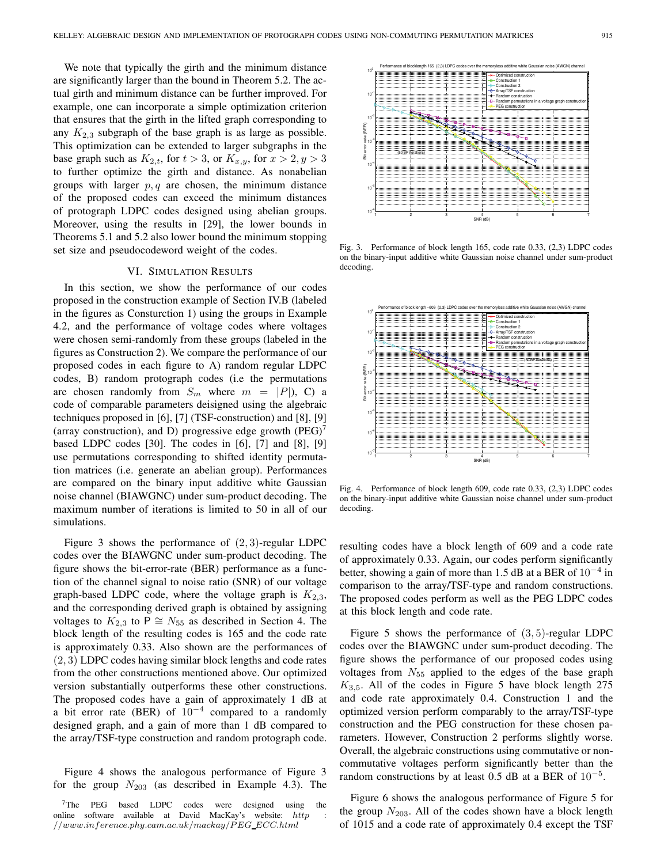We note that typically the girth and the minimum distance are significantly larger than the bound in Theorem 5.2. The actual girth and minimum distance can be further improved. For example, one can incorporate a simple optimization criterion that ensures that the girth in the lifted graph corresponding to any  $K_{2,3}$  subgraph of the base graph is as large as possible. This optimization can be extended to larger subgraphs in the base graph such as  $K_{2,t}$ , for  $t > 3$ , or  $K_{x,y}$ , for  $x > 2, y > 3$ to further optimize the girth and distance. As nonabelian groups with larger  $p, q$  are chosen, the minimum distance of the proposed codes can exceed the minimum distances of protograph LDPC codes designed using abelian groups. Moreover, using the results in [29], the lower bounds in Theorems 5.1 and 5.2 also lower bound the minimum stopping set size and pseudocodeword weight of the codes.

#### VI. SIMULATION RESULTS

In this section, we show the performance of our codes proposed in the construction example of Section IV.B (labeled in the figures as Consturction 1) using the groups in Example 4.2, and the performance of voltage codes where voltages were chosen semi-randomly from these groups (labeled in the figures as Construction 2). We compare the performance of our proposed codes in each figure to A) random regular LDPC codes, B) random protograph codes (i.e the permutations are chosen randomly from  $S_m$  where  $m = |P|$ , C) a code of comparable parameters deisigned using the algebraic techniques proposed in [6], [7] (TSF-construction) and [8], [9] (array construction), and D) progressive edge growth  $(PEG)^{7}$ based LDPC codes [30]. The codes in [6], [7] and [8], [9] use permutations corresponding to shifted identity permutation matrices (i.e. generate an abelian group). Performances are compared on the binary input additive white Gaussian noise channel (BIAWGNC) under sum-product decoding. The maximum number of iterations is limited to 50 in all of our simulations.

Figure 3 shows the performance of  $(2, 3)$ -regular LDPC codes over the BIAWGNC under sum-product decoding. The figure shows the bit-error-rate (BER) performance as a function of the channel signal to noise ratio (SNR) of our voltage graph-based LDPC code, where the voltage graph is  $K_{2,3}$ , and the corresponding derived graph is obtained by assigning voltages to  $K_{2,3}$  to P  $\cong N_{55}$  as described in Section 4. The block length of the resulting codes is 165 and the code rate is approximately 0.33. Also shown are the performances of (2, 3) LDPC codes having similar block lengths and code rates from the other constructions mentioned above. Our optimized version substantially outperforms these other constructions. The proposed codes have a gain of approximately 1 dB at a bit error rate (BER) of  $10^{-4}$  compared to a randomly designed graph, and a gain of more than 1 dB compared to the array/TSF-type construction and random protograph code.

Figure 4 shows the analogous performance of Figure 3 for the group  $N_{203}$  (as described in Example 4.3). The



Fig. 3. Performance of block length 165, code rate 0.33, (2,3) LDPC codes on the binary-input additive white Gaussian noise channel under sum-product decoding.



Fig. 4. Performance of block length 609, code rate 0.33, (2,3) LDPC codes on the binary-input additive white Gaussian noise channel under sum-product decoding.

resulting codes have a block length of 609 and a code rate of approximately 0.33. Again, our codes perform significantly better, showing a gain of more than 1.5 dB at a BER of  $10^{-4}$  in comparison to the array/TSF-type and random constructions. The proposed codes perform as well as the PEG LDPC codes at this block length and code rate.

Figure 5 shows the performance of  $(3, 5)$ -regular LDPC codes over the BIAWGNC under sum-product decoding. The figure shows the performance of our proposed codes using voltages from  $N_{55}$  applied to the edges of the base graph  $K_{3,5}$ . All of the codes in Figure 5 have block length 275 and code rate approximately 0.4. Construction 1 and the optimized version perform comparably to the array/TSF-type construction and the PEG construction for these chosen parameters. However, Construction 2 performs slightly worse. Overall, the algebraic constructions using commutative or noncommutative voltages perform significantly better than the random constructions by at least 0.5 dB at a BER of  $10^{-5}$ .

Figure 6 shows the analogous performance of Figure 5 for the group  $N_{203}$ . All of the codes shown have a block length of 1015 and a code rate of approximately 0.4 except the TSF

<sup>&</sup>lt;sup>7</sup>The PEG based LDPC codes were designed using the online software available at David MacKay's website: http  $// www.inference.php.cam.ac.uk/mackay/PEG\_ECC.html$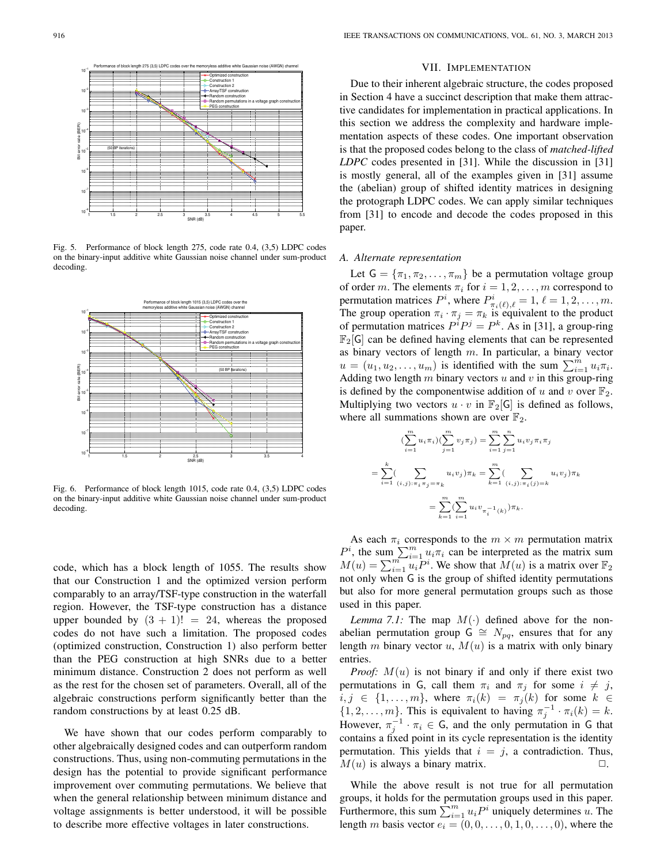![](_page_7_Figure_1.jpeg)

Fig. 5. Performance of block length 275, code rate 0.4, (3,5) LDPC codes on the binary-input additive white Gaussian noise channel under sum-product decoding.

![](_page_7_Figure_3.jpeg)

Fig. 6. Performance of block length 1015, code rate 0.4, (3,5) LDPC codes on the binary-input additive white Gaussian noise channel under sum-product decoding.

code, which has a block length of 1055. The results show that our Construction 1 and the optimized version perform comparably to an array/TSF-type construction in the waterfall region. However, the TSF-type construction has a distance upper bounded by  $(3 + 1)! = 24$ , whereas the proposed codes do not have such a limitation. The proposed codes (optimized construction, Construction 1) also perform better than the PEG construction at high SNRs due to a better minimum distance. Construction 2 does not perform as well as the rest for the chosen set of parameters. Overall, all of the algebraic constructions perform significantly better than the random constructions by at least 0.25 dB.

We have shown that our codes perform comparably to other algebraically designed codes and can outperform random constructions. Thus, using non-commuting permutations in the design has the potential to provide significant performance improvement over commuting permutations. We believe that when the general relationship between minimum distance and voltage assignments is better understood, it will be possible to describe more effective voltages in later constructions.

#### VII. IMPLEMENTATION

Due to their inherent algebraic structure, the codes proposed in Section 4 have a succinct description that make them attractive candidates for implementation in practical applications. In this section we address the complexity and hardware implementation aspects of these codes. One important observation is that the proposed codes belong to the class of *matched-lifted LDPC* codes presented in [31]. While the discussion in [31] is mostly general, all of the examples given in [31] assume the (abelian) group of shifted identity matrices in designing the protograph LDPC codes. We can apply similar techniques from [31] to encode and decode the codes proposed in this paper.

#### *A. Alternate representation*

Let  $G = {\pi_1, \pi_2, \ldots, \pi_m}$  be a permutation voltage group of order m. The elements  $\pi_i$  for  $i = 1, 2, \ldots, m$  correspond to permutation matrices  $P^i$ , where  $P^i_{\pi_i(\ell),\ell} = 1, \ell = 1,2,\ldots,m$ . The group operation  $\pi_i \cdot \pi_j = \pi_k$  is equivalent to the product of permutation matrices  $P^i P^j = P^k$ . As in [31], a group-ring  $\mathbb{F}_2[G]$  can be defined having elements that can be represented as binary vectors of length  $m$ . In particular, a binary vector  $u = (u_1, u_2, \dots, u_m)$  is identified with the sum  $\sum_{i=1}^{m} u_i \pi_i$ . Adding two length  $m$  binary vectors  $u$  and  $v$  in this group-ring is defined by the componentwise addition of u and v over  $\mathbb{F}_2$ . Multiplying two vectors  $u \cdot v$  in  $\mathbb{F}_2[G]$  is defined as follows, where all summations shown are over  $\mathbb{F}_2$ .

$$
\left(\sum_{i=1}^{m} u_i \pi_i\right)\left(\sum_{j=1}^{m} v_j \pi_j\right) = \sum_{i=1}^{m} \sum_{j=1}^{n} u_i v_j \pi_i \pi_j
$$

$$
= \sum_{i=1}^{k} \left(\sum_{(i,j):\pi_i \pi_j = \pi_k} u_i v_j\right) \pi_k = \sum_{k=1}^{m} \left(\sum_{(i,j):\pi_i(j)=k} u_i v_j\right) \pi_k
$$

$$
= \sum_{k=1}^{m} \left(\sum_{i=1}^{m} u_i v_{\pi_i^{-1}(k)}\right) \pi_k.
$$

As each  $\pi_i$  corresponds to the  $m \times m$  permutation matrix  $P^i$ , the sum  $\sum_{i=1}^m u_i \pi_i$  can be interpreted as the matrix sum  $M(u) = \sum_{i=1}^{m} u_i P^i$ . We show that  $M(u)$  is a matrix over  $\mathbb{F}_2$ not only when G is the group of shifted identity permutations but also for more general permutation groups such as those used in this paper.

*Lemma 7.1:* The map  $M(\cdot)$  defined above for the nonabelian permutation group G  $\cong$  N<sub>pq</sub>, ensures that for any length m binary vector  $u$ ,  $M(u)$  is a matrix with only binary entries.

*Proof:*  $M(u)$  is not binary if and only if there exist two permutations in G, call them  $\pi_i$  and  $\pi_j$  for some  $i \neq j$ ,  $i, j \in \{1, \ldots, m\}$ , where  $\pi_i(k) = \pi_j(k)$  for some  $k \in$  $\{1, 2, \ldots, m\}$ . This is equivalent to having  $\pi_j^{-1} \cdot \pi_i(k) = k$ . However,  $\pi_j^{-1} \cdot \pi_i \in G$ , and the only permutation in G that contains a fixed point in its cycle representation is the identity permutation. This yields that  $i = j$ , a contradiction. Thus,  $M(u)$  is always a binary matrix.  $\square$ .

While the above result is not true for all permutation groups, it holds for the permutation groups used in this paper. Furthermore, this sum  $\sum_{i=1}^{m} u_i P^i$  uniquely determines u. The length m basis vector  $e_i = (0, 0, \ldots, 0, 1, 0, \ldots, 0)$ , where the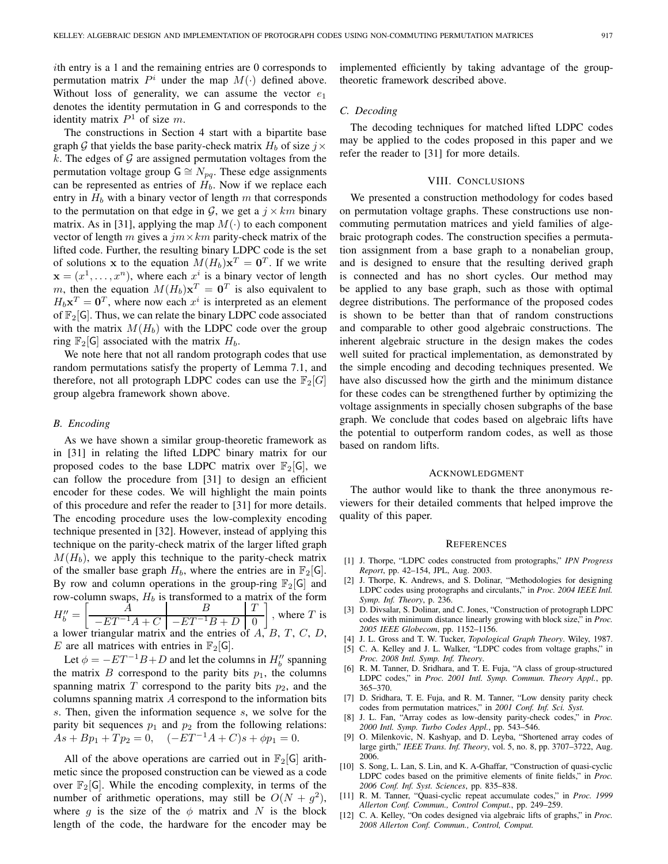ith entry is a 1 and the remaining entries are 0 corresponds to permutation matrix  $P^i$  under the map  $M(\cdot)$  defined above. Without loss of generality, we can assume the vector  $e_1$ denotes the identity permutation in G and corresponds to the identity matrix  $P^1$  of size m.

The constructions in Section 4 start with a bipartite base graph G that yields the base parity-check matrix  $H_b$  of size  $j \times$ k. The edges of  $G$  are assigned permutation voltages from the permutation voltage group  $G \cong N_{pq}$ . These edge assignments can be represented as entries of  $H<sub>b</sub>$ . Now if we replace each entry in  $H_b$  with a binary vector of length m that corresponds to the permutation on that edge in  $G$ , we get a  $j \times km$  binary matrix. As in [31], applying the map  $M(\cdot)$  to each component vector of length m gives a  $jm \times km$  parity-check matrix of the lifted code. Further, the resulting binary LDPC code is the set of solutions **x** to the equation  $M(H_b)\mathbf{x}^T = \mathbf{0}^T$ . If we write  $\mathbf{x} = (x^1, \dots, x^n)$ , where each  $x^i$  is a binary vector of length m, then the equation  $M(H_b)\mathbf{x}^T = \mathbf{0}^T$  is also equivalent to  $H_b\mathbf{x}^T = \mathbf{0}^T$ , where now each  $x^i$  is interpreted as an element of  $\mathbb{F}_2[G]$ . Thus, we can relate the binary LDPC code associated with the matrix  $M(H_b)$  with the LDPC code over the group ring  $\mathbb{F}_2[G]$  associated with the matrix  $H_b$ .

We note here that not all random protograph codes that use random permutations satisfy the property of Lemma 7.1, and therefore, not all protograph LDPC codes can use the  $\mathbb{F}_2[G]$ group algebra framework shown above.

#### *B. Encoding*

As we have shown a similar group-theoretic framework as in [31] in relating the lifted LDPC binary matrix for our proposed codes to the base LDPC matrix over  $\mathbb{F}_2[G]$ , we can follow the procedure from [31] to design an efficient encoder for these codes. We will highlight the main points of this procedure and refer the reader to [31] for more details. The encoding procedure uses the low-complexity encoding technique presented in [32]. However, instead of applying this technique on the parity-check matrix of the larger lifted graph  $M(H_b)$ , we apply this technique to the parity-check matrix of the smaller base graph  $H_b$ , where the entries are in  $\mathbb{F}_2[G]$ . By row and column operations in the group-ring  $\mathbb{F}_2[G]$  and row-column swaps,  $H_b$  is transformed to a matrix of the form  $H''_b =$  $\begin{bmatrix} A & | & B & | & T \end{bmatrix}$  $-ET^{-1}A+C$   $-ET^{-1}B+D$  0  $\Big]$ , where T is a lower triangular matrix and the entries of  $A$ ,  $B$ ,  $T$ ,  $C$ ,  $D$ , E are all matrices with entries in  $\mathbb{F}_2[G]$ .

Let  $\phi = -ET^{-1}B + D$  and let the columns in  $H''_b$  spanning the matrix  $B$  correspond to the parity bits  $p_1$ , the columns spanning matrix  $T$  correspond to the parity bits  $p_2$ , and the columns spanning matrix A correspond to the information bits s. Then, given the information sequence s, we solve for the parity bit sequences  $p_1$  and  $p_2$  from the following relations:  $As + Bp_1 + Tp_2 = 0, \quad (-ET^{-1}A + C)s + \phi p_1 = 0.$ 

All of the above operations are carried out in  $\mathbb{F}_2[G]$  arithmetic since the proposed construction can be viewed as a code over  $\mathbb{F}_2[G]$ . While the encoding complexity, in terms of the number of arithmetic operations, may still be  $O(N + g^2)$ , where g is the size of the  $\phi$  matrix and N is the block length of the code, the hardware for the encoder may be implemented efficiently by taking advantage of the grouptheoretic framework described above.

#### *C. Decoding*

The decoding techniques for matched lifted LDPC codes may be applied to the codes proposed in this paper and we refer the reader to [31] for more details.

#### VIII. CONCLUSIONS

We presented a construction methodology for codes based on permutation voltage graphs. These constructions use noncommuting permutation matrices and yield families of algebraic protograph codes. The construction specifies a permutation assignment from a base graph to a nonabelian group, and is designed to ensure that the resulting derived graph is connected and has no short cycles. Our method may be applied to any base graph, such as those with optimal degree distributions. The performance of the proposed codes is shown to be better than that of random constructions and comparable to other good algebraic constructions. The inherent algebraic structure in the design makes the codes well suited for practical implementation, as demonstrated by the simple encoding and decoding techniques presented. We have also discussed how the girth and the minimum distance for these codes can be strengthened further by optimizing the voltage assignments in specially chosen subgraphs of the base graph. We conclude that codes based on algebraic lifts have the potential to outperform random codes, as well as those based on random lifts.

#### ACKNOWLEDGMENT

The author would like to thank the three anonymous reviewers for their detailed comments that helped improve the quality of this paper.

#### **REFERENCES**

- [1] J. Thorpe, "LDPC codes constructed from protographs," *IPN Progress Report*, pp. 42–154, JPL, Aug. 2003.
- [2] J. Thorpe, K. Andrews, and S. Dolinar, "Methodologies for designing LDPC codes using protographs and circulants," in *Proc. 2004 IEEE Intl. Symp. Inf. Theory*, p. 236.
- [3] D. Divsalar, S. Dolinar, and C. Jones, "Construction of protograph LDPC codes with minimum distance linearly growing with block size," in *Proc. 2005 IEEE Globecom*, pp. 1152–1156.
- [4] J. L. Gross and T. W. Tucker, *Topological Graph Theory*. Wiley, 1987.
- [5] C. A. Kelley and J. L. Walker, "LDPC codes from voltage graphs," in *Proc. 2008 Intl. Symp. Inf. Theory*.
- [6] R. M. Tanner, D. Sridhara, and T. E. Fuja, "A class of group-structured LDPC codes," in *Proc. 2001 Intl. Symp. Commun. Theory Appl.*, pp. 365–370.
- [7] D. Sridhara, T. E. Fuja, and R. M. Tanner, "Low density parity check codes from permutation matrices," in *2001 Conf. Inf. Sci. Syst.*
- [8] J. L. Fan, "Array codes as low-density parity-check codes," in *Proc. 2000 Intl. Symp. Turbo Codes Appl.*, pp. 543–546.
- [9] O. Milenkovic, N. Kashyap, and D. Leyba, "Shortened array codes of large girth," *IEEE Trans. Inf. Theory*, vol. 5, no. 8, pp. 3707–3722, Aug. 2006.
- [10] S. Song, L. Lan, S. Lin, and K. A-Ghaffar, "Construction of quasi-cyclic LDPC codes based on the primitive elements of finite fields," in *Proc. 2006 Conf. Inf. Syst. Sciences*, pp. 835–838.
- [11] R. M. Tanner, "Quasi-cyclic repeat accumulate codes," in *Proc. 1999 Allerton Conf. Commun., Control Comput.*, pp. 249–259.
- [12] C. A. Kelley, "On codes designed via algebraic lifts of graphs," in *Proc. 2008 Allerton Conf. Commun., Control, Comput.*